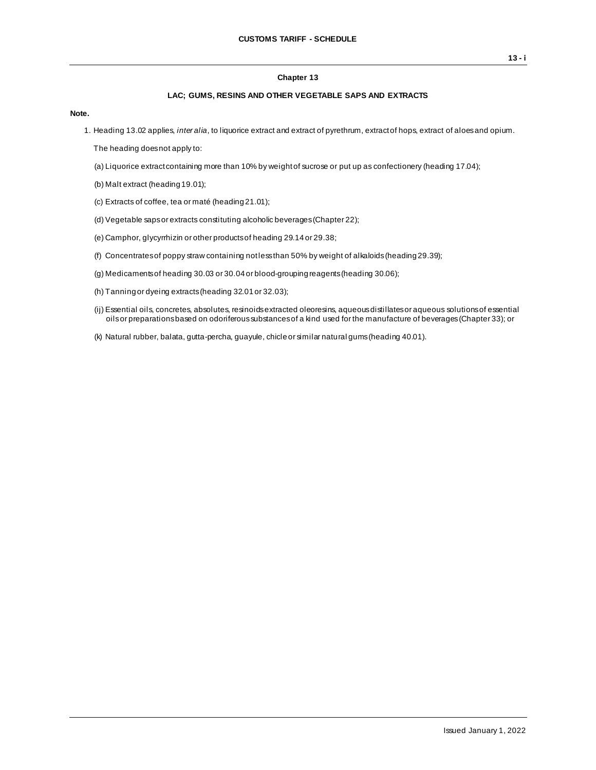## **Chapter 13**

## **LAC; GUMS, RESINS AND OTHER VEGETABLE SAPS AND EXTRACTS**

**Note.**

1. Heading 13.02 applies, *inter alia*, to liquorice extract and extract of pyrethrum, extract of hops, extract of aloes and opium.

The heading does not apply to:

- (a) Liquorice extract containing more than 10% by weight of sucrose or put up as confectionery (heading 17.04);
- (b) Malt extract (heading 19.01);
- (c) Extracts of coffee, tea or maté (heading 21.01);
- (d) Vegetable saps or extracts constituting alcoholic beverages (Chapter 22);
- (e) Camphor, glycyrrhizin or other products of heading 29.14 or 29.38;
- (f) Concentrates of poppy straw containing not less than 50% by weight of alkaloids (heading 29.39);
- (g) Medicaments of heading 30.03 or 30.04 or blood-grouping reagents (heading 30.06);
- (h) Tanning or dyeing extracts (heading 32.01 or 32.03);
- (ij) Essential oils, concretes, absolutes, resinoids extracted oleoresins, aqueous distillates or aqueous solutions of essential oils or preparations based on odoriferous substances of a kind used for the manufacture of beverages (Chapter 33); or
- (k) Natural rubber, balata, gutta-percha, guayule, chicle or similar natural gums (heading 40.01).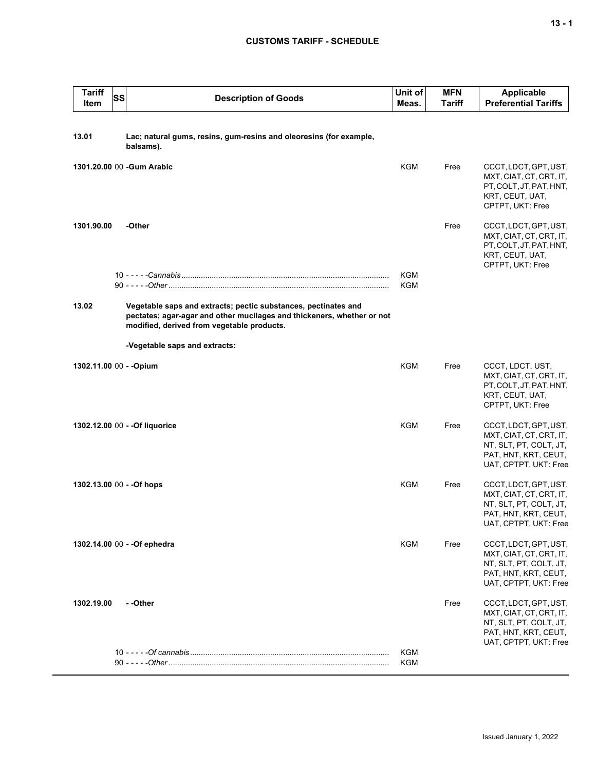## **CUSTOMS TARIFF - SCHEDULE**

| <b>Tariff</b><br>Item   | SS | <b>Description of Goods</b>                                                                                                                                                            | Unit of<br>Meas.  | <b>MFN</b><br><b>Tariff</b> | <b>Applicable</b><br><b>Preferential Tariffs</b>                                                                            |
|-------------------------|----|----------------------------------------------------------------------------------------------------------------------------------------------------------------------------------------|-------------------|-----------------------------|-----------------------------------------------------------------------------------------------------------------------------|
| 13.01                   |    | Lac; natural gums, resins, gum-resins and oleoresins (for example,<br>balsams).                                                                                                        |                   |                             |                                                                                                                             |
|                         |    | 1301.20.00 00 -Gum Arabic                                                                                                                                                              | <b>KGM</b>        | Free                        | CCCT, LDCT, GPT, UST,<br>MXT, CIAT, CT, CRT, IT,<br>PT, COLT, JT, PAT, HNT,<br>KRT, CEUT, UAT,<br>CPTPT, UKT: Free          |
| 1301.90.00              |    | -Other                                                                                                                                                                                 |                   | Free                        | CCCT, LDCT, GPT, UST,<br>MXT, CIAT, CT, CRT, IT,<br>PT, COLT, JT, PAT, HNT,<br>KRT, CEUT, UAT,<br>CPTPT, UKT: Free          |
|                         |    |                                                                                                                                                                                        | <b>KGM</b><br>KGM |                             |                                                                                                                             |
| 13.02                   |    | Vegetable saps and extracts; pectic substances, pectinates and<br>pectates; agar-agar and other mucilages and thickeners, whether or not<br>modified, derived from vegetable products. |                   |                             |                                                                                                                             |
|                         |    | -Vegetable saps and extracts:                                                                                                                                                          |                   |                             |                                                                                                                             |
| 1302.11.00 00 - - Opium |    |                                                                                                                                                                                        | <b>KGM</b>        | Free                        | CCCT, LDCT, UST,<br>MXT, CIAT, CT, CRT, IT,<br>PT, COLT, JT, PAT, HNT,<br>KRT, CEUT, UAT,<br>CPTPT, UKT: Free               |
|                         |    | 1302.12.00 00 - - Of liquorice                                                                                                                                                         | <b>KGM</b>        | Free                        | CCCT, LDCT, GPT, UST,<br>MXT, CIAT, CT, CRT, IT,<br>NT, SLT, PT, COLT, JT,<br>PAT, HNT, KRT, CEUT,<br>UAT, CPTPT, UKT: Free |
|                         |    | 1302.13.00 00 - - Of hops                                                                                                                                                              | <b>KGM</b>        | Free                        | CCCT, LDCT, GPT, UST,<br>MXT, CIAT, CT, CRT, IT,<br>NT, SLT, PT, COLT, JT,<br>PAT, HNT, KRT, CEUT,<br>UAT, CPTPT, UKT: Free |
|                         |    | 1302.14.00 00 - - Of ephedra                                                                                                                                                           | KGM               | Free                        | CCCT, LDCT, GPT, UST,<br>MXT, CIAT, CT, CRT, IT,<br>NT, SLT, PT, COLT, JT,<br>PAT, HNT, KRT, CEUT,<br>UAT, CPTPT, UKT: Free |
| 1302.19.00              |    | - -Other                                                                                                                                                                               |                   | Free                        | CCCT, LDCT, GPT, UST,<br>MXT, CIAT, CT, CRT, IT,<br>NT, SLT, PT, COLT, JT,<br>PAT, HNT, KRT, CEUT,<br>UAT, CPTPT, UKT: Free |
|                         |    |                                                                                                                                                                                        | KGM<br>KGM        |                             |                                                                                                                             |
|                         |    |                                                                                                                                                                                        |                   |                             |                                                                                                                             |